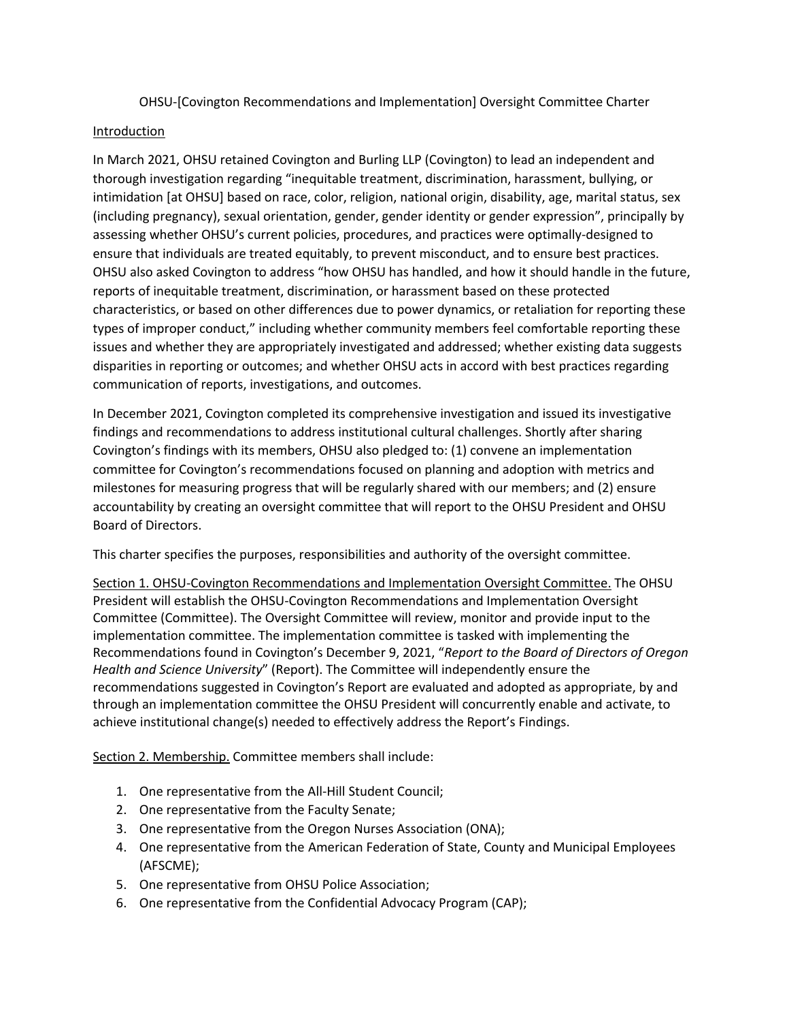OHSU-[Covington Recommendations and Implementation] Oversight Committee Charter

## Introduction

In March 2021, OHSU retained Covington and Burling LLP (Covington) to lead an independent and thorough investigation regarding "inequitable treatment, discrimination, harassment, bullying, or intimidation [at OHSU] based on race, color, religion, national origin, disability, age, marital status, sex (including pregnancy), sexual orientation, gender, gender identity or gender expression", principally by assessing whether OHSU's current policies, procedures, and practices were optimally-designed to ensure that individuals are treated equitably, to prevent misconduct, and to ensure best practices. OHSU also asked Covington to address "how OHSU has handled, and how it should handle in the future, reports of inequitable treatment, discrimination, or harassment based on these protected characteristics, or based on other differences due to power dynamics, or retaliation for reporting these types of improper conduct," including whether community members feel comfortable reporting these issues and whether they are appropriately investigated and addressed; whether existing data suggests disparities in reporting or outcomes; and whether OHSU acts in accord with best practices regarding communication of reports, investigations, and outcomes.

In December 2021, Covington completed its comprehensive investigation and issued its investigative findings and recommendations to address institutional cultural challenges. Shortly after sharing Covington's findings with its members, OHSU also pledged to: (1) convene an implementation committee for Covington's recommendations focused on planning and adoption with metrics and milestones for measuring progress that will be regularly shared with our members; and (2) ensure accountability by creating an oversight committee that will report to the OHSU President and OHSU Board of Directors.

This charter specifies the purposes, responsibilities and authority of the oversight committee.

Section 1. OHSU-Covington Recommendations and Implementation Oversight Committee. The OHSU President will establish the OHSU-Covington Recommendations and Implementation Oversight Committee (Committee). The Oversight Committee will review, monitor and provide input to the implementation committee. The implementation committee is tasked with implementing the Recommendations found in Covington's December 9, 2021, "*Report to the Board of Directors of Oregon Health and Science University*" (Report). The Committee will independently ensure the recommendations suggested in Covington's Report are evaluated and adopted as appropriate, by and through an implementation committee the OHSU President will concurrently enable and activate, to achieve institutional change(s) needed to effectively address the Report's Findings.

Section 2. Membership. Committee members shall include:

- 1. One representative from the All-Hill Student Council;
- 2. One representative from the Faculty Senate;
- 3. One representative from the Oregon Nurses Association (ONA);
- 4. One representative from the American Federation of State, County and Municipal Employees (AFSCME);
- 5. One representative from OHSU Police Association;
- 6. One representative from the Confidential Advocacy Program (CAP);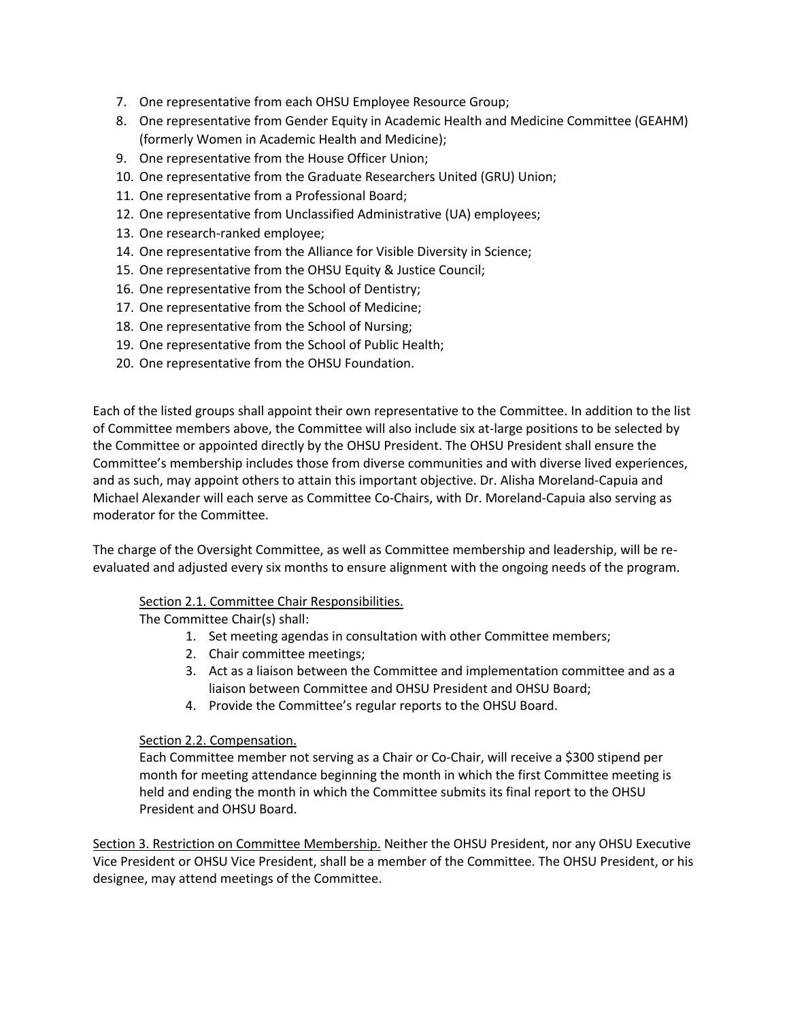- 7. One representative from each OHSU Employee Resource Group;
- 8. One representative from Gender Equity in Academic Health and Medicine Committee (GEAHM) (formerly Women in Academic Health and Medicine);
- 9. One representative from the House Officer Union;
- 10. One representative from the Graduate Researchers United (GRU) Union;
- 11. One representative from a Professional Board;
- 12. One representative from Unclassified Administrative (UA) employees;
- 13. One research-ranked employee;
- 14. One representative from the Alliance for Visible Diversity in Science;
- 15. One representative from the OHSU Equity & Justice Council;
- 16. One representative from the School of Dentistry;
- 17. One representative from the School of Medicine;
- 18. One representative from the School of Nursing;
- 19. One representative from the School of Public Health;
- 20. One representative from the OHSU Foundation.

Each of the listed groups shall appoint their own representative to the Committee. In addition to the list of Committee members above, the Committee will also include six at-large positions to be selected by the Committee or appointed directly by the OHSU President. The OHSU President shall ensure the Committee's membership includes those from diverse communities and with diverse lived experiences, and as such, may appoint others to attain this important objective. Dr. Alisha Moreland-Capuia and Michael Alexander will each serve as Committee Co-Chairs, with Dr. Moreland-Capuia also serving as moderator for the Committee.

The charge of the Oversight Committee, as well as Committee membership and leadership, will be reevaluated and adjusted every six months to ensure alignment with the ongoing needs of the program.

## Section 2.1. Committee Chair Responsibilities.

The Committee Chair(s) shall:

- 1. Set meeting agendas in consultation with other Committee members;
- 2. Chair committee meetings;
- 3. Act as a liaison between the Committee and implementation committee and as a liaison between Committee and OHSU President and OHSU Board;
- 4. Provide the Committee's regular reports to the OHSU Board.

## Section 2.2. Compensation.

Each Committee member not serving as a Chair or Co-Chair, will receive a \$300 stipend per month for meeting attendance beginning the month in which the first Committee meeting is held and ending the month in which the Committee submits its final report to the OHSU President and OHSU Board.

Section 3. Restriction on Committee Membership. Neither the OHSU President, nor any OHSU Executive Vice President or OHSU Vice President, shall be a member of the Committee. The OHSU President, or his designee, may attend meetings of the Committee.